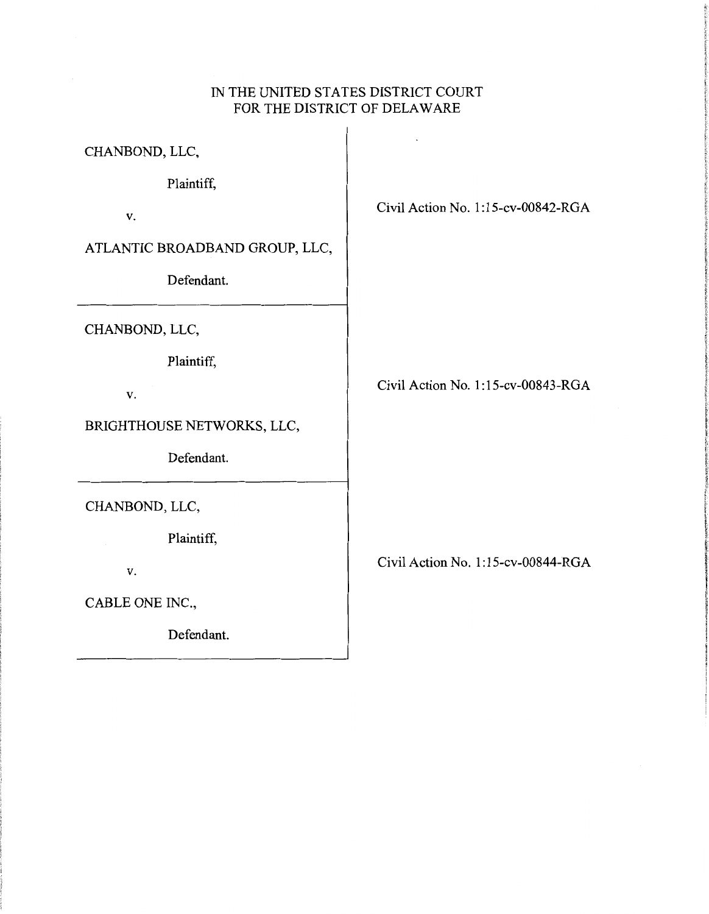# IN THE UNITED STATES DISTRICT COURT FOR THE DISTRICT OF DELAWARE

 $\mathbf{r}$ 

CHANBOND, LLC,

Plaintiff,

v.

ATLANTIC BROADBAND GROUP, LLC,

Defendant.

CHANBOND, LLC,

Plaintiff,

v.

BRIGHTHOUSE NETWORKS, LLC,

Defendant.

CHANBOND, LLC,

Plaintiff,

v.

CABLE ONE INC.,

Defendant.

Civil Action No. 1:15-cv-00842-RGA

Civil Action No. 1:15-cv-00843-RGA

Civil Action No. 1: 15-cv-00844-RGA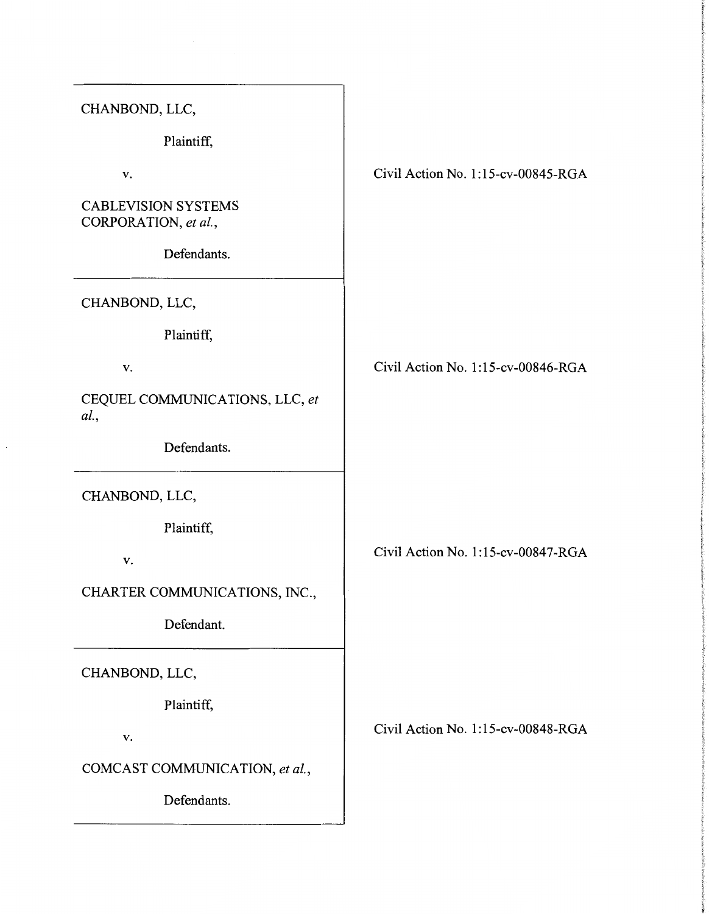| CHANBOND, LLC,                                     |                                    |
|----------------------------------------------------|------------------------------------|
| Plaintiff,                                         |                                    |
| V.                                                 | Civil Action No. 1:15-cv-00845-RGA |
| <b>CABLEVISION SYSTEMS</b><br>CORPORATION, et al., |                                    |
| Defendants.                                        |                                    |
| CHANBOND, LLC,                                     |                                    |
| Plaintiff,                                         |                                    |
| V.                                                 | Civil Action No. 1:15-cv-00846-RGA |
| CEQUEL COMMUNICATIONS, LLC, et<br>al.,             |                                    |
| Defendants.                                        |                                    |
| CHANBOND, LLC,                                     |                                    |
| Plaintiff,                                         |                                    |
| v.                                                 | Civil Action No. 1:15-cv-00847-RGA |
| CHARTER COMMUNICATIONS, INC.,                      |                                    |
| Defendant.                                         |                                    |
| CHANBOND, LLC,                                     |                                    |
| Plaintiff,                                         |                                    |
| V.                                                 | Civil Action No. 1:15-cv-00848-RGA |
| COMCAST COMMUNICATION, et al.,                     |                                    |
| Defendants.                                        |                                    |
|                                                    |                                    |

 $\cdot$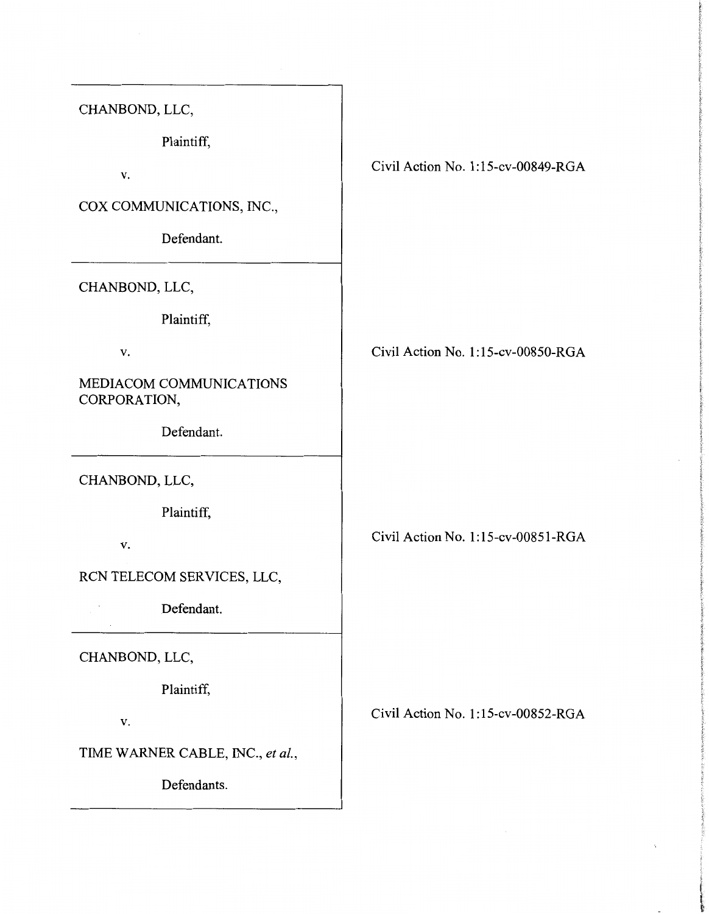CHANBOND, LLC,

Plaintiff,

v.

COX COMMUNICATIONS, INC.,

Defendant.

CHANBOND, LLC,

Plaintiff,

v.

MEDIACOM COMMUNICATIONS CORPORATION,

Defendant.

CHANBOND, LLC,

Plaintiff,

v.

RCN TELECOM SERVICES, LLC,

Defendant.

CHANBOND, LLC,

Plaintiff,

V.

TIME WARNER CABLE, INC., *et al.,* 

Defendants.

Civil Action No. 1:15-cv-00849-RGA

Civil Action No. 1:15-cv-00850-RGA

Civil Action No. 1:15-cv-00851-RGA

Civil Action No. 1:15-cv-00852-RGA

i I l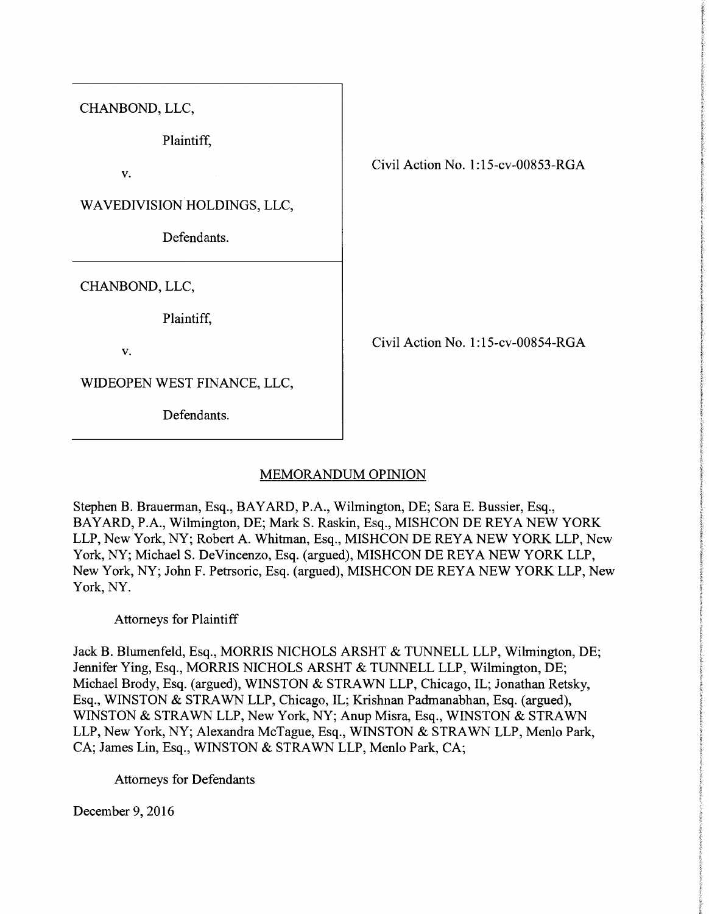CHANBOND, LLC,

Plaintiff,

v.

WAVEDIVISION HOLDINGS, LLC,

Defendants.

CHANBOND, LLC,

Plaintiff,

V.

WIDEOPEN WEST FINANCE, LLC,

Defendants.

Civil Action No. 1:15-cv-00853-RGA

Civil Action No. 1:15-cv-00854-RGA

## MEMORANDUM OPINION

Stephen B. Brauerman, Esq., BAYARD, P.A., Wilmington, DE; Sara E. Bussier, Esq., BAY ARD, P.A., Wilmington, DE; Mark S. Raskin, Esq., MISHCON DE REYA NEW YORK LLP, New York, NY; Robert A. Whitman, Esq., MISHCON DE REYA NEW YORK LLP, New York, NY; Michael S. DeVincenzo, Esq. (argued), MISHCON DE REYA NEW YORK LLP, New York, NY; John F. Petrsoric, Esq. (argued), MISHCON DE REYA NEW YORK LLP, New York, NY.

Attorneys for Plaintiff

Jack B. Blumenfeld, Esq., MORRIS NICHOLS ARSHT & TUNNELL LLP, Wilmington, DE; Jennifer Ying, Esq., MORRIS NICHOLS ARSHT & TUNNELL LLP, Wilmington, DE; Michael Brody, Esq. (argued), WINSTON & STRAWN LLP, Chicago, IL; Jonathan Retsky, Esq., WINSTON & STRAWN LLP, Chicago, IL; Krishnan Padmanabhan, Esq. (argued), WINSTON & STRAWN LLP, New York, NY; Anup Misra, Esq., WINSTON & STRAWN LLP, New York, NY; Alexandra McTague, Esq., WINSTON & STRAWN LLP, Menlo Park, CA; James Lin, Esq., WINSTON & STRAWN LLP, Menlo Park, CA;

Attorneys for Defendants

December 9, 2016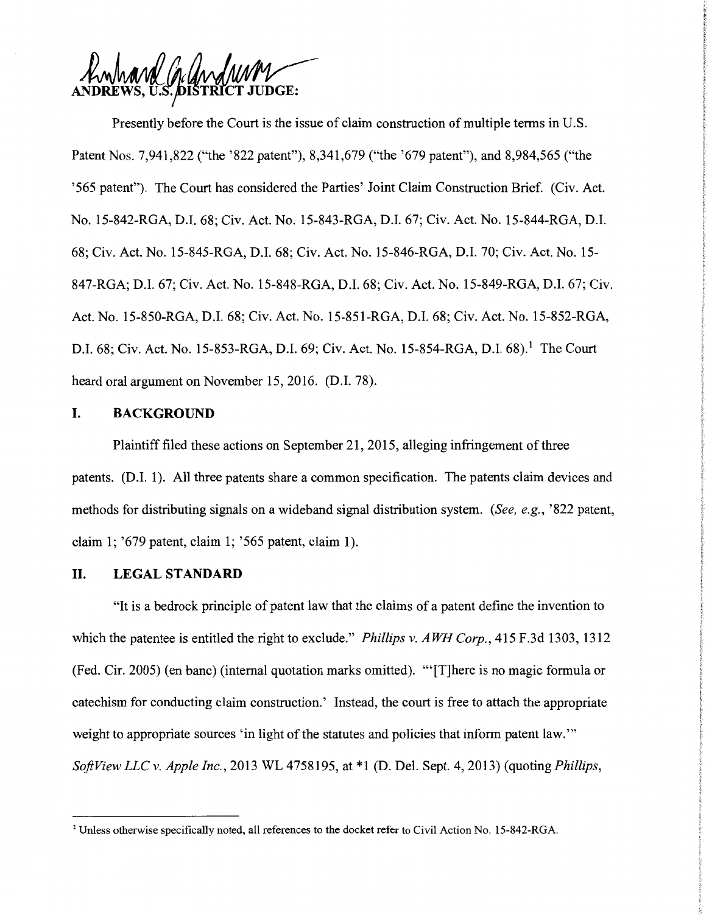and Cardwan

Presently before the Court is the issue of claim construction of multiple terms in U.S. Patent Nos. 7,941,822 ("the '822 patent"), 8,341,679 ("the '679 patent"), and 8,984,565 ("the '565 patent"). The Court has considered the Parties' Joint Claim Construction Brief. (Civ. Act. No. 15-842-RGA, D.I. 68; Civ. Act. No. 15-843-RGA, D.I. 67; Civ. Act. No. 15-844-RGA, D.I. 68; Civ. Act. No. 15-845-RGA, D.I. 68; Civ. Act. No. 15-846-RGA, D.I. 70; Civ. Act. No. 15- 847-RGA; D.I. 67; Civ. Act. No. 15-848-RGA, D.I. 68; Civ. Act. No. 15-849-RGA, D.I. 67; Civ. Act. No. 15-850-RGA, D.I. 68; Civ. Act. No. 15-851-RGA, D.I. 68; Civ. Act. No. 15-852-RGA, D.I. 68; Civ. Act. No. 15-853-RGA, D.I. 69; Civ. Act. No. 15-854-RGA, D.I. 68).<sup>1</sup> The Court heard oral argument on November 15, 2016. (D.I. 78).

#### **I. BACKGROUND**

Plaintiff filed these actions on September 21, 2015, alleging infringement of three patents. (D.I. 1). All three patents share a common specification. The patents claim devices and methods for distributing signals on a wideband signal distribution system. *(See, e.g.,* '822 patent, claim 1; '679 patent, claim 1; '565 patent, claim 1).

#### **II. LEGALSTANDARD**

"It is a bedrock principle of patent law that the claims of a patent define the invention to which the patentee is entitled the right to exclude." *Phillips v. AWH Corp.,* 415 F.3d 1303, 1312 (Fed. Cir. 2005) (en bane) (internal quotation marks omitted). "'[T]here is no magic formula or catechism for conducting claim construction.' Instead, the court is free to attach the appropriate weight to appropriate sources 'in light of the statutes and policies that inform patent law.'" *Soft View LLC v. Apple Inc.,* 2013 WL 4758195, at \*1 (D. Del. Sept. 4, 2013) (quoting *Phillips,* 

<sup>1</sup> Unless otherwise specifically noted, all references to the docket refer to Civil Action No. 15-842-RGA.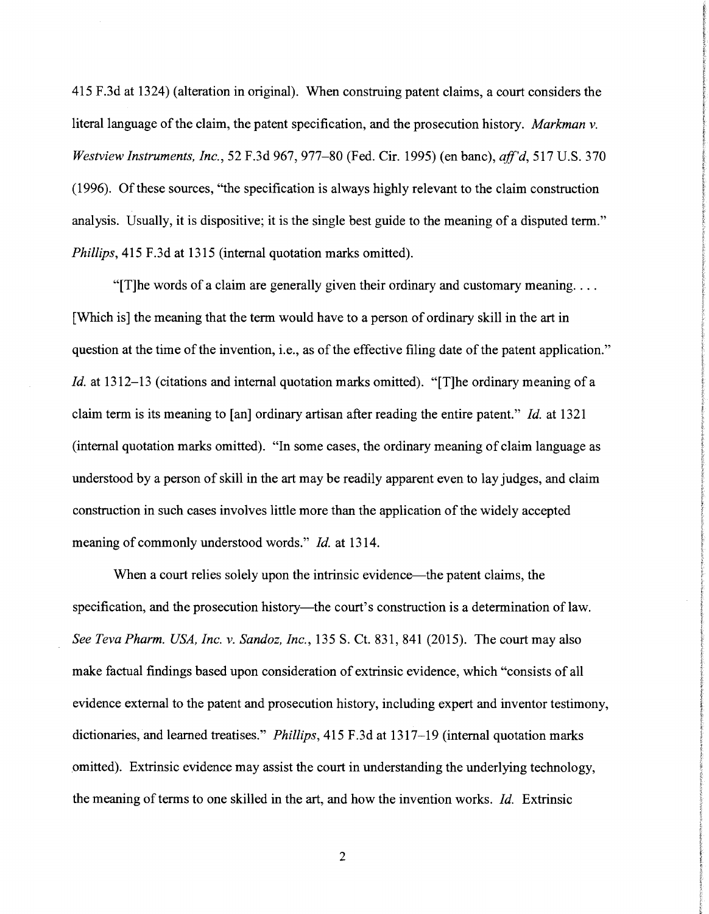415 F.3d at 1324) (alteration in original). When construing patent claims, a court considers the literal language of the claim, the patent specification, and the prosecution history. *Markman v. Westview Instruments, Inc.,* 52 F.3d 967, 977-80 (Fed. Cir. 1995) (en bane), *aff'd,* 517 U.S. 370 (1996). Of these sources, "the specification is always highly relevant to the claim construction analysis. Usually, it is dispositive; it is the single best guide to the meaning of a disputed term." *Phillips,* 415 F.3d at 1315 (internal quotation marks omitted).

"[T] he words of a claim are generally given their ordinary and customary meaning... [Which is] the meaning that the term would have to a person of ordinary skill in the art in question at the time of the invention, i.e., as of the effective filing date of the patent application." *Id.* at 1312-13 (citations and internal quotation marks omitted). "[T]he ordinary meaning of a claim term is its meaning to [an] ordinary artisan after reading the entire patent." *Id.* at 1321 (internal quotation marks omitted). "In some cases, the ordinary meaning of claim language as understood by a person of skill in the art may be readily apparent even to lay judges, and claim construction in such cases involves little more than the application of the widely accepted meaning of commonly understood words." *Id.* at 1314.

When a court relies solely upon the intrinsic evidence—the patent claims, the specification, and the prosecution history—the court's construction is a determination of law. *See Teva Pharm. USA, Inc. v. Sandoz, Inc.,* 135 S. Ct. 831, 841 (2015). The court may also make factual findings based upon consideration of extrinsic evidence, which "consists of all evidence external to the patent and prosecution history, including expert and inventor testimony, dictionaries, and learned treatises." *Phillips,* 415 F .3d at 1317-19 (internal quotation marks omitted). Extrinsic evidence may assist the court in understanding the underlying technology, the meaning of terms to one skilled in the art, and how the invention works. *Id.* Extrinsic

2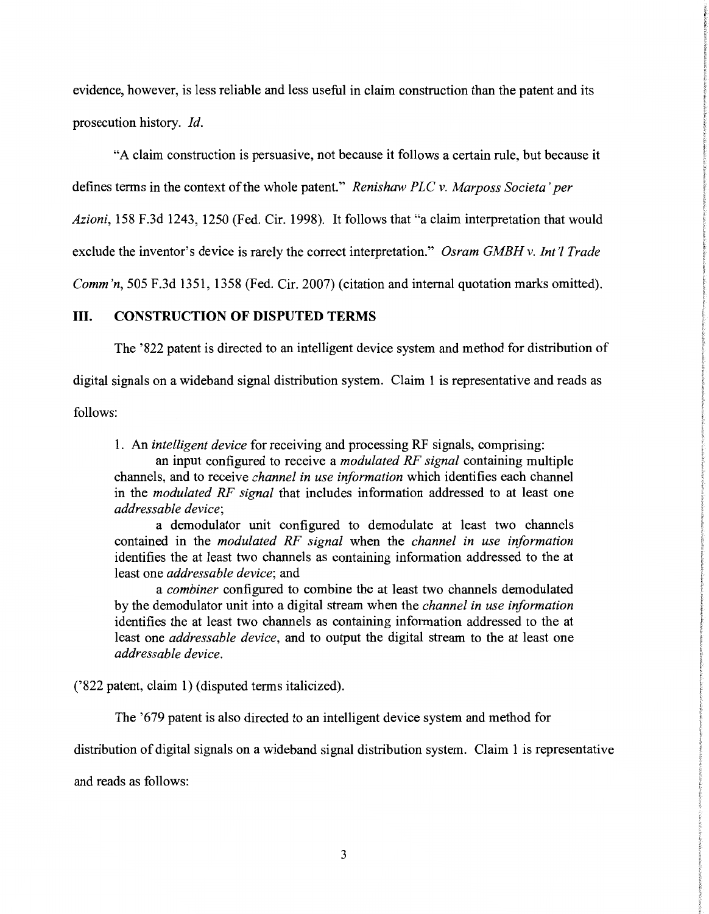evidence, however, is less reliable and less useful in claim construction than the patent and its prosecution history. *Id.* 

"A claim construction is persuasive, not because it follows a certain rule, but because it

defines terms in the context of the whole patent." *Renishaw PLC v. Marposs Societa 'per* 

*Azioni,* 158 F.3d 1243, 1250 (Fed. Cir. 1998). It follows that "a claim interpretation that would

exclude the inventor's device is rarely the correct interpretation." *Osram GMBH v. Int'l Trade* 

*Comm 'n,* 505 F.3d 1351, 1358 (Fed. Cir. 2007) (citation and internal quotation marks omitted).

## III. **CONSTRUCTION OF DISPUTED TERMS**

The '822 patent is directed to an intelligent device system and method for distribution of

digital signals on a wideband signal distribution system. Claim 1 is representative and reads as

follows:

1. An *intelligent device* for receiving and processing RF signals, comprising:

an input configured to receive a *modulated RF signal* containing multiple channels, and to receive *channel in use information* which identifies each channel in the *modulated RF signal* that includes information addressed to at least one *addressable device;* 

a demodulator unit configured to demodulate at least two channels contained in the *modulated RF signal* when the *channel in use information*  identifies the at least two channels as containing information addressed to the at least one *addressable device;* and

a *combiner* configured to combine the at least two channels demodulated by the demodulator unit into a digital stream when the *channel in use information*  identifies the at least two channels as containing information addressed to the at least one *addressable device,* and to output the digital stream to the at least one *addressable device.* 

('822 patent, claim 1) (disputed terms italicized).

The '679 patent is also directed to an intelligent device system and method for

distribution of digital signals on a wideband signal distribution system. Claim 1 is representative

and reads as follows: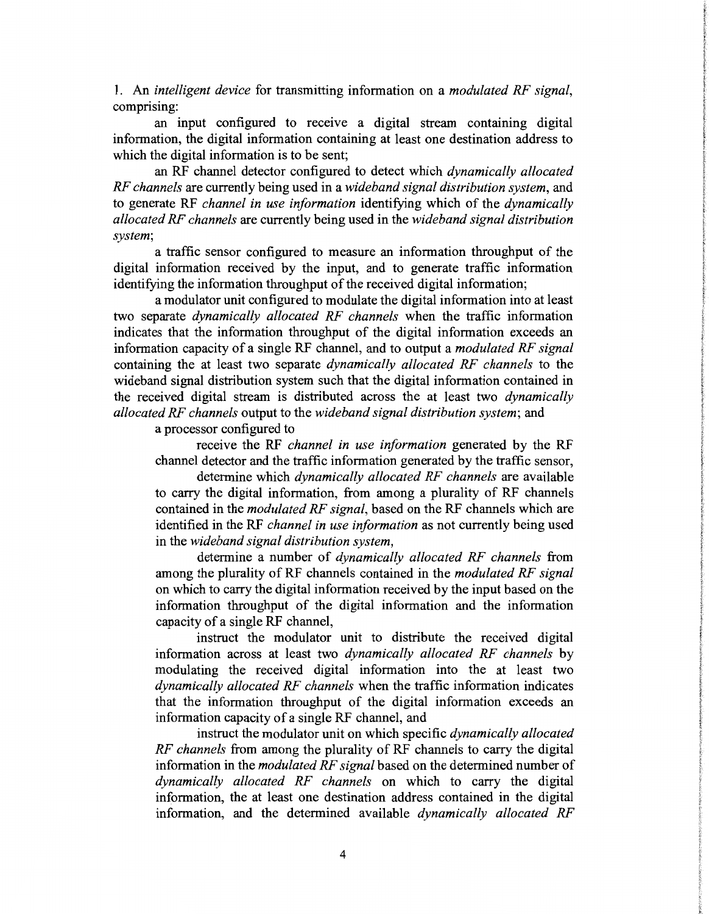1. An *intelligent device* for transmitting information on a *modulated RF signal,*  comprising:

an input configured to receive a digital stream containing digital information, the digital information containing at least one destination address to which the digital information is to be sent;

an RF channel detector configured to detect which *dynamically allocated RF channels* are currently being used in a *wideband signal distribution system,* and to generate RF *channel in use information* identifying which of the *dynamically allocated RF channels* are currently being used in the *wideband signal distribution system;* 

a traffic sensor configured to measure an information throughput of the digital information received by the input, and to generate traffic information identifying the information throughput of the received digital information;

a modulator unit configured to modulate the digital information into at least two separate *dynamically allocated RF channels* when the traffic information indicates that the information throughput of the digital information exceeds an information capacity of a single RF channel, and to output a *modulated RF signal*  containing the at least two separate *dynamically allocated RF channels* to the wideband signal distribution system such that the digital information contained in the received digital stream is distributed across the at least two *dynamically allocated RF channels* output to the *wideband signal distribution system;* and

a processor configured to

receive the RF *channel in use information* generated by the RF channel detector and the traffic information generated by the traffic sensor,

determine which *dynamically allocated RF channels* are available to carry the digital information, from among a plurality of RF channels contained in the *modulated RF signal,* based on the RF channels which are identified in the RF *channel in use information* as not currently being used in the *wideband signal distribution system,* 

determine a number of *dynamically allocated RF channels* from among the plurality of RF channels contained in the *modulated RF signal*  on which to carry the digital information received by the input based on the information throughput of the digital information and the information capacity of a single RF channel,

instruct the modulator unit to distribute the received digital information across at least two *dynamically allocated RF channels* by modulating the received digital information into the at least two *dynamically allocated RF channels* when the traffic information indicates that the information throughput of the digital information exceeds an information capacity of a single RF channel, and

instruct the modulator unit on which specific *dynamically allocated RF channels* from among the plurality of RF channels to carry the digital information in the *modulated RF signal* based on the determined number of *dynamically allocated RF channels* on which to carry the digital information, the at least one destination address contained in the digital information, and the determined available *dynamically allocated RF*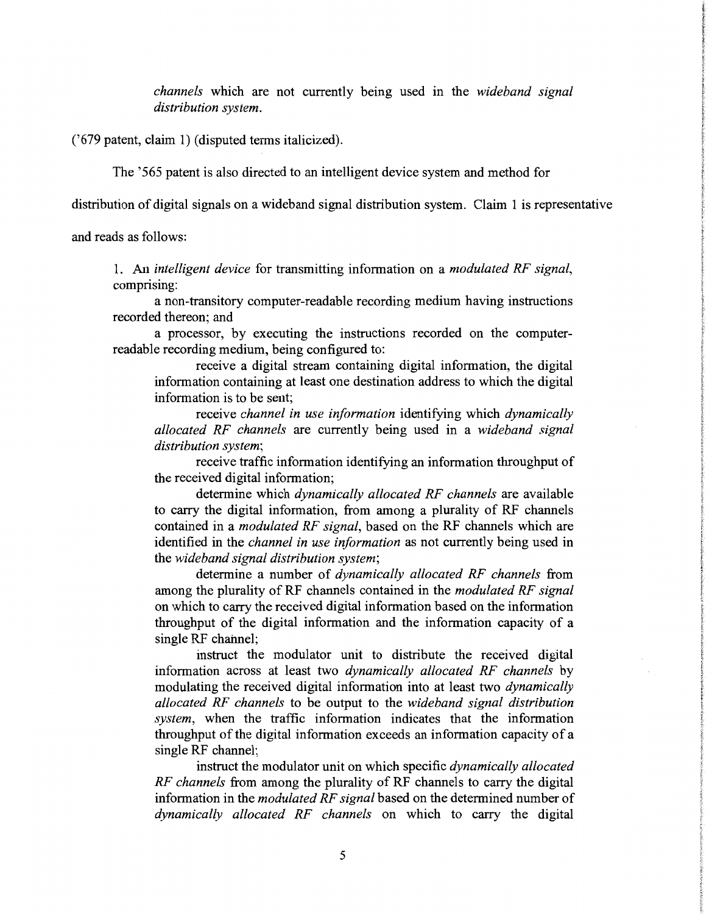*channels* which are not currently being used in the *wideband signal distribution system.* 

('679 patent, claim 1) (disputed terms italicized).

The '565 patent is also directed to an intelligent device system and method for

distribution of digital signals on a wideband signal distribution system. Claim 1 is representative

and reads as follows:

1. An *intelligent device* for transmitting information on a *modulated RF signal,*  comprising:

a non-transitory computer-readable recording medium having instructions recorded thereon; and

a processor, by executing the instructions recorded on the computerreadable recording medium, being configured to:

receive a digital stream containing digital information, the digital information containing at least one destination address to which the digital information is to be sent;

receive *channel in use information* identifying which *dynamically allocated RF channels* are currently being used in a *wideband signal distribution system;* 

receive traffic information identifying an information throughput of the received digital information;

determine which *dynamically allocated RF channels* are available to carry the digital information, from among a plurality of RF channels contained in a *modulated RF signal,* based on the RF channels which are identified in the *channel in use information* as not currently being used in the *wideband signal distribution system;* 

determine a number of *dynamically allocated RF channels* from among the plurality of RF channels contained in the *modulated RF signal*  on which to carry the received digital information based on the information throughput of the digital information and the information capacity of a single RF channel;

instruct the modulator unit to distribute the received digital information across at least two *dynamically allocated RF channels* by modulating the received digital information into at least two *dynamically allocated RF channels* to be output to the *wideband signal distribution system,* when the traffic information indicates that the information throughput of the digital information exceeds an information capacity of a single RF channel;

instruct the modulator unit on which specific *dynamically allocated RF channels* from among the plurality of RF channels to carry the digital information in the *modulated RF signal* based on the determined number of *dynamically allocated RF channels* on which to carry the digital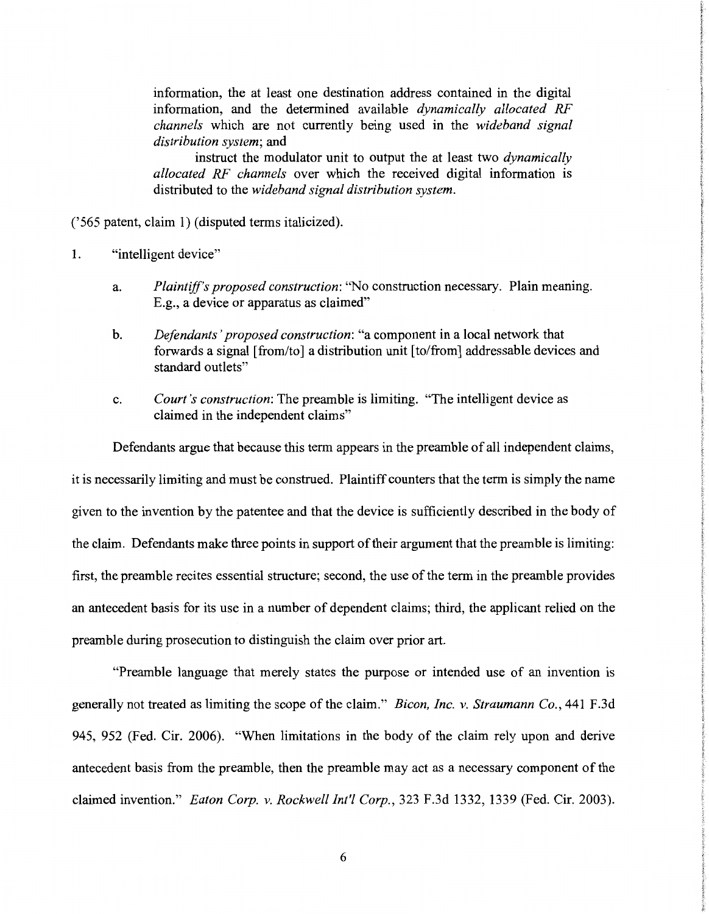information, the at least one destination address contained in the digital information, and the determined available *dynamically allocated RF channels* which are not currently being used in the *wideband signal distribution system;* and

instruct the modulator unit to output the at least two *dynamically allocated RF channels* over which the received digital information is distributed to the *wideband signal distribution system.* 

('565 patent, claim 1) (disputed terms italicized).

- 1. "intelligent device"
	- a. *Plaintiff's proposed construction:* "No construction necessary. Plain meaning. E.g., a device or apparatus as claimed"
	- b. *Defendants' proposed construction:* "a component in a local network that forwards a signal [from/to] a distribution unit [to/from] addressable devices and standard outlets"
	- c. *Court's construction:* The preamble is limiting. "The intelligent device as claimed in the independent claims"

Defendants argue that because this term appears in the preamble of all independent claims,

it is necessarily limiting and must be construed. Plaintiff counters that the term is simply the name given to the invention by the patentee and that the device is sufficiently described in the body of the claim. Defendants make three points in support of their argument that the preamble is limiting: first, the preamble recites essential structure; second, the use of the term in the preamble provides an antecedent basis for its use in a number of dependent claims; third, the applicant relied on the preamble during prosecution to distinguish the claim over prior art.

"Preamble language that merely states the purpose or intended use of an invention is generally not treated as limiting the scope of the claim." *Bicon, Inc. v. Straumann Co.,* 441 F.3d 945, 952 (Fed. Cir. 2006). "When limitations in the body of the claim rely upon and derive antecedent basis from the preamble, then the preamble may act as a necessary component of the claimed invention." *Eaton Corp. v. Rockwell Int'! Corp.,* 323 F.3d 1332, 1339 (Fed. Cir. 2003).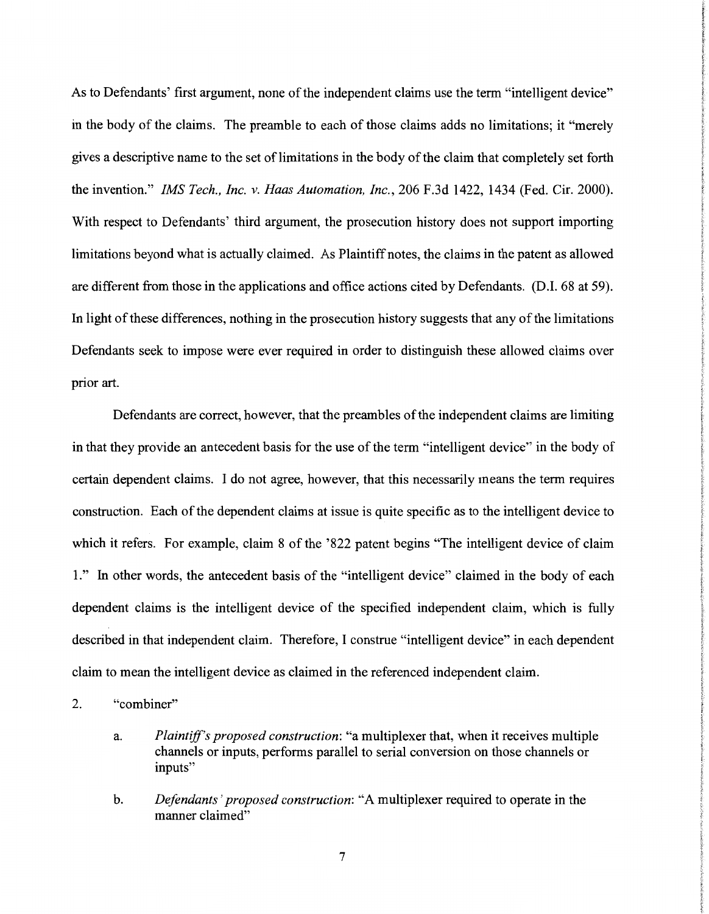As to Defendants' first argument, none of the independent claims use the term "intelligent device" in the body of the claims. The preamble to each of those claims adds no limitations; it "merely gives a descriptive name to the set of limitations in the body of the claim that completely set forth the invention." *IMS Tech., Inc. v. Haas Automation, Inc.,* 206 F.3d 1422, 1434 (Fed. Cir. 2000). With respect to Defendants' third argument, the prosecution history does not support importing limitations beyond what is actually claimed. As Plaintiff notes, the claims in the patent as allowed are different from those in the applications and office actions cited by Defendants. (D.I. 68 at 59). In light of these differences, nothing in the prosecution history suggests that any of the limitations Defendants seek to impose were ever required in order to distinguish these allowed claims over prior art.

Defendants are correct, however, that the preambles of the independent claims are limiting in that they provide an antecedent basis for the use of the term "intelligent device" in the body of certain dependent claims. I do not agree, however, that this necessarily means the term requires construction. Each of the dependent claims at issue is quite specific as to the intelligent device to which it refers. For example, claim 8 of the '822 patent begins "The intelligent device of claim 1." In other words, the antecedent basis of the "intelligent device" claimed in the body of each dependent claims is the intelligent device of the specified independent claim, which is fully described in that independent claim. Therefore, I construe "intelligent device" in each dependent claim to mean the intelligent device as claimed in the referenced independent claim.

- 2. "combiner"
	- a. *Plaintiff's proposed construction:* "a multiplexer that, when it receives multiple channels or inputs, performs parallel to serial conversion on those channels or inputs"
	- b. *Defendants' proposed construction:* "A multiplexer required to operate in the manner claimed"

7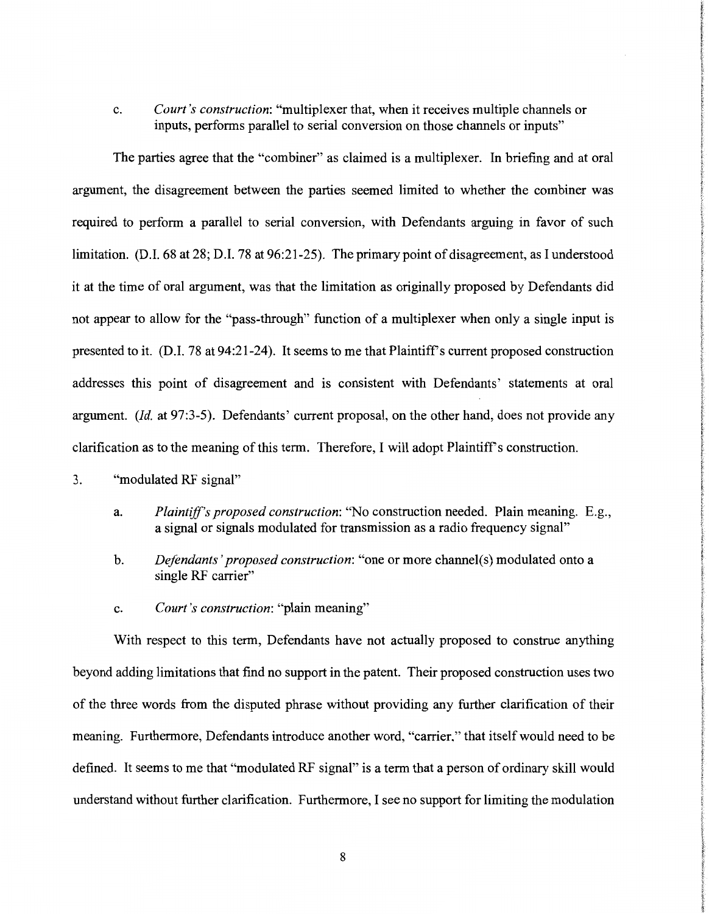c. *Court's construction:* "multiplexer that, when it receives multiple channels or inputs, performs parallel to serial conversion on those channels or inputs"

The parties agree that the "combiner" as claimed is a multiplexer. In briefing and at oral argument, the disagreement between the parties seemed limited to whether the combiner was required to perform a parallel to serial conversion, with Defendants arguing in favor of such limitation. (D.I. 68 at 28; D.I. 78 at 96:21-25). The primary point of disagreement, as I understood it at the time of oral argument, was that the limitation as originally proposed by Defendants did not appear to allow for the "pass-through" function of a multiplexer when only a single input is presented to it. (D.I. 78 at 94:21-24). It seems to me that Plaintiff's current proposed construction addresses this point of disagreement and is consistent with Defendants' statements at oral argument. *(Id.* at 97:3-5). Defendants' current proposal, on the other hand, does not provide any clarification as to the meaning of this term. Therefore, I will adopt Plaintiff's construction.

- 3. "modulated RF signal"
	- a. *Plaintiff's proposed construction:* "No construction needed. Plain meaning. E.g., a signal or signals modulated for transmission as a radio frequency signal"
	- b. *Defendants' proposed construction:* "one or more channel(s) modulated onto a single RF carrier"
	- c. *Court's construction:* "plain meaning"

With respect to this term, Defendants have not actually proposed to construe anything beyond adding limitations that find no support in the patent. Their proposed construction uses two of the three words from the disputed phrase without providing any further clarification of their meaning. Furthermore, Defendants introduce another word, "carrier," that itself would need to be defined. It seems to me that "modulated RF signal" is a term that a person of ordinary skill would understand without further clarification. Furthermore, I see no support for limiting the modulation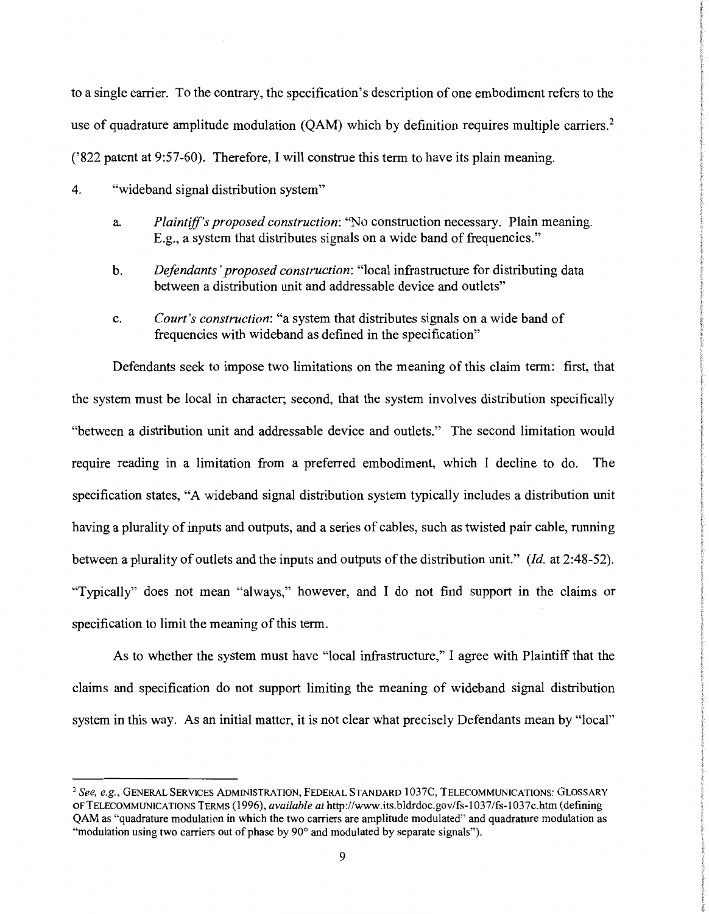to a single carrier. To the contrary, the specification's description of one embodiment refers to the use of quadrature amplitude modulation  $(OAM)$  which by definition requires multiple carriers.<sup>2</sup> ('822 patent at 9:57-60). Therefore, I will construe this term to have its plain meaning.

- 4. "wideband signal distribution system"
	- a. *Plaintiff's proposed construction:* "No construction necessary. Plain meaning. E.g., a system that distributes signals on a wide band of frequencies."
	- b. *Defendants' proposed construction:* "local infrastructure for distributing data between a distribution unit and addressable device and outlets"
	- c. *Court's construction:* "a system that distributes signals on a wide band of frequencies with wideband as defined in the specification"

Defendants seek to impose two limitations on the meaning of this claim term: first, that the system must be local in character; second, that the system involves distribution specifically "between a distribution unit and addressable device and outlets." The second limitation would require reading in a limitation from a preferred embodiment, which I decline to do. The specification states, "A wideband signal distribution system typically includes a distribution unit having a plurality of inputs and outputs, and a series of cables, such as twisted pair cable, running between a plurality of outlets and the inputs and outputs of the distribution unit." *(Id.* at 2:48-52). "Typically" does not mean "always," however, and I do not find support in the claims or specification to limit the meaning of this term.

As to whether the system must have "local infrastructure," I agree with Plaintiff that the claims and specification do not support limiting the meaning of wideband signal distribution system in this way. As an initial matter, it is not clear what precisely Defendants mean by "local"

<sup>2</sup>*See, e.g.,* GENERAL SERVICES ADMINISTRATION, FEDERAL STANDARD 1037C, TELECOMMUNICATIONS: GLOSSARY OF TELECOMMUNICATIONS TERMS ( 1996), *available at* http://www.its.bldrdoc.gov/fs-103 7 /fs-103 7 c.htm (defining QAM as "quadrature modulation in which the two carriers are amplitude modulated" and quadrature modulation as "modulation using two carriers out of phase by 90° and modulated by separate signals").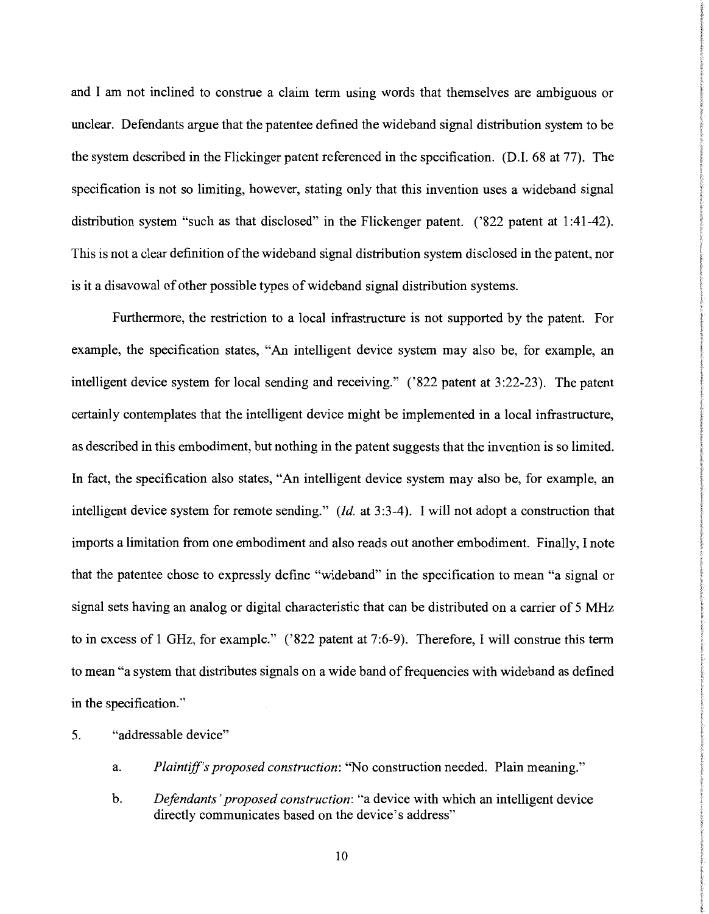and I am not inclined to construe a claim term using words that themselves are ambiguous or unclear. Defendants argue that the patentee defined the wideband signal distribution system to be the system described in the Flickinger patent referenced in the specification. (D.I. 68 at 77). The specification is not so limiting, however, stating only that this invention uses a wideband signal distribution system "such as that disclosed" in the Flickenger patent. ('822 patent at 1:41-42). This is not a clear definition of the wideband signal distribution system disclosed in the patent, nor is it a disavowal of other possible types of wideband signal distribution systems.

Furthermore, the restriction to a local infrastructure is not supported by the patent. For example, the specification states, "An intelligent device system may also be, for example, an intelligent device system for local sending and receiving." ('822 patent at 3:22-23). The patent certainly contemplates that the intelligent device might be implemented in a local infrastructure, as described in this embodiment, but nothing in the patent suggests that the invention is so limited. In fact, the specification also states, "An intelligent device system may also be, for example, an intelligent device system for remote sending." *(Id.* at 3:3-4). I will not adopt a construction that imports a limitation from one embodiment and also reads out another embodiment. Finally, I note that the patentee chose to expressly define "wideband" in the specification to mean "a signal or signal sets having an analog or digital characteristic that can be distributed on a carrier of 5 MHz to in excess of 1 GHz, for example." ('822 patent at 7:6-9). Therefore, I will construe this term to mean "a system that distributes signals on a wide band of frequencies with wideband as defined in the specification."

- 5. "addressable device"
	- a. *Plaintiff's proposed construction:* "No construction needed. Plain meaning."
	- b. *Defendants' proposed construction:* "a device with which an intelligent device directly communicates based on the device's address"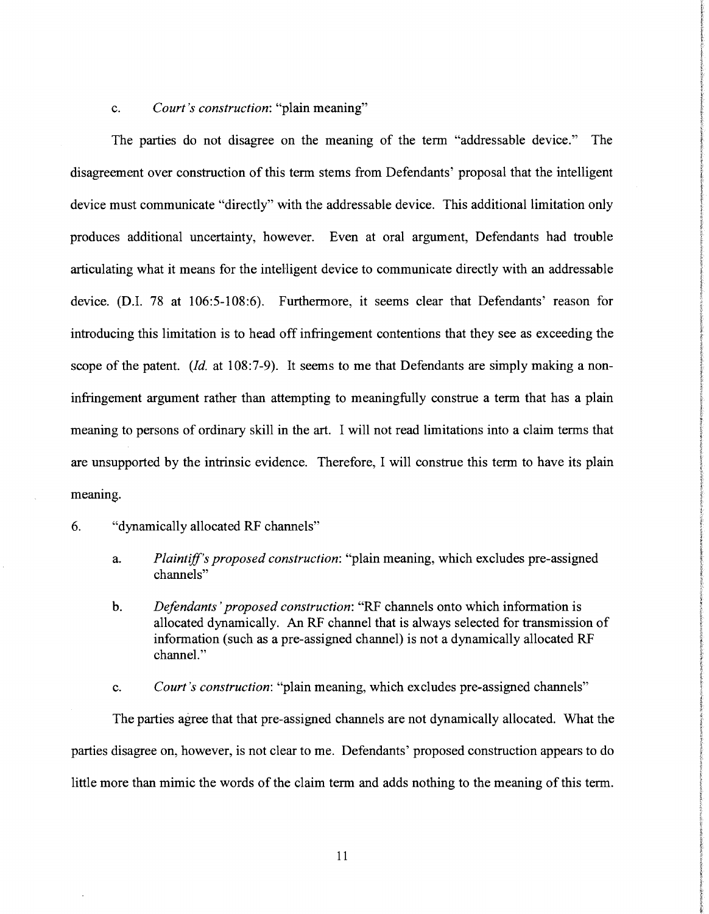## c. *Court's construction:* "plain meaning"

The parties do not disagree on the meaning of the term "addressable device." The disagreement over construction of this term stems from Defendants' proposal that the intelligent device must communicate "directly" with the addressable device. This additional limitation only produces additional uncertainty, however. Even at oral argument, Defendants had trouble articulating what it means for the intelligent device to communicate directly with an addressable device. (D.I. 78 at 106:5-108:6). Furthermore, it seems clear that Defendants' reason for introducing this limitation is to head off infringement contentions that they see as exceeding the scope of the patent. *(Id. at 108:7-9)*. It seems to me that Defendants are simply making a noninfringement argument rather than attempting to meaningfully construe a term that has a plain meaning to persons of ordinary skill in the art. I will not read limitations into a claim terms that are unsupported by the intrinsic evidence. Therefore, I will construe this term to have its plain meaning.

#### 6. "dynamically allocated RF channels"

- a. *Plaintiff's proposed construction:* "plain meaning, which excludes pre-assigned channels"
- b. *Defendants' proposed construction:* "RF channels onto which information is allocated dynamically. An RF channel that is always selected for transmission of information (such as a pre-assigned channel) is not a dynamically allocated RF channel."
- c. *Court's construction:* "plain meaning, which excludes pre-assigned channels"

The parties agree that that pre-assigned channels are not dynamically allocated. What the parties disagree on, however, is not clear to me. Defendants' proposed construction appears to do little more than mimic the words of the claim term and adds nothing to the meaning of this term.

11